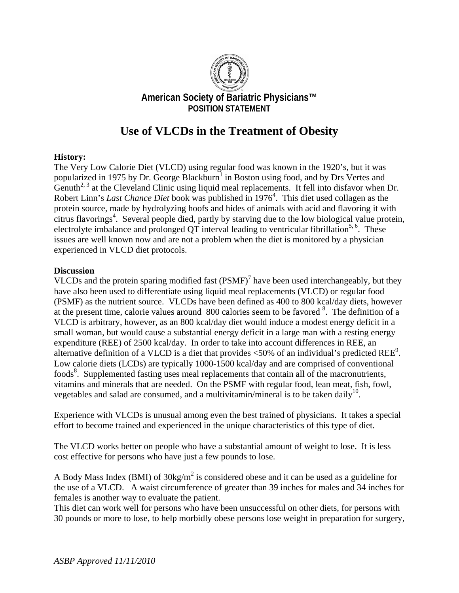

# **Use of VLCDs in the Treatment of Obesity**

#### **History:**

The Very Low Calorie Diet (VLCD) using regular food was known in the 1920's, but it was popularized in 1975 by Dr. George Blackburn<sup>1</sup> in Boston using food, and by Drs Vertes and Genuth<sup>2, 3</sup> at the Cleveland Clinic using liquid meal replacements. It fell into disfavor when Dr. Robert Linn's *Last Chance Diet* book was published in 1976<sup>4</sup>. This diet used collagen as the protein source, made by hydrolyzing hoofs and hides of animals with acid and flavoring it with citrus flavorings<sup>4</sup>. Several people died, partly by starving due to the low biological value protein, electrolyte imbalance and prolonged QT interval leading to ventricular fibrillation<sup>5, 6</sup>. These issues are well known now and are not a problem when the diet is monitored by a physician experienced in VLCD diet protocols.

#### **Discussion**

VLCDs and the protein sparing modified fast  $(PSMF)<sup>7</sup>$  have been used interchangeably, but they have also been used to differentiate using liquid meal replacements (VLCD) or regular food (PSMF) as the nutrient source. VLCDs have been defined as 400 to 800 kcal/day diets, however at the present time, calorie values around 800 calories seem to be favored <sup>8</sup>. The definition of a VLCD is arbitrary, however, as an 800 kcal/day diet would induce a modest energy deficit in a small woman, but would cause a substantial energy deficit in a large man with a resting energy expenditure (REE) of 2500 kcal/day. In order to take into account differences in REE, an alternative definition of a VLCD is a diet that provides  $\langle 50\%$  of an individual's predicted REE<sup>9</sup>. Low calorie diets (LCDs) are typically 1000-1500 kcal/day and are comprised of conventional foods<sup>8</sup>. Supplemented fasting uses meal replacements that contain all of the macronutrients, vitamins and minerals that are needed. On the PSMF with regular food, lean meat, fish, fowl, vegetables and salad are consumed, and a multivitamin/mineral is to be taken daily<sup>10</sup>.

Experience with VLCDs is unusual among even the best trained of physicians. It takes a special effort to become trained and experienced in the unique characteristics of this type of diet.

The VLCD works better on people who have a substantial amount of weight to lose. It is less cost effective for persons who have just a few pounds to lose.

A Body Mass Index (BMI) of  $30\text{kg/m}^2$  is considered obese and it can be used as a guideline for the use of a VLCD. A waist circumference of greater than 39 inches for males and 34 inches for females is another way to evaluate the patient.

This diet can work well for persons who have been unsuccessful on other diets, for persons with 30 pounds or more to lose, to help morbidly obese persons lose weight in preparation for surgery,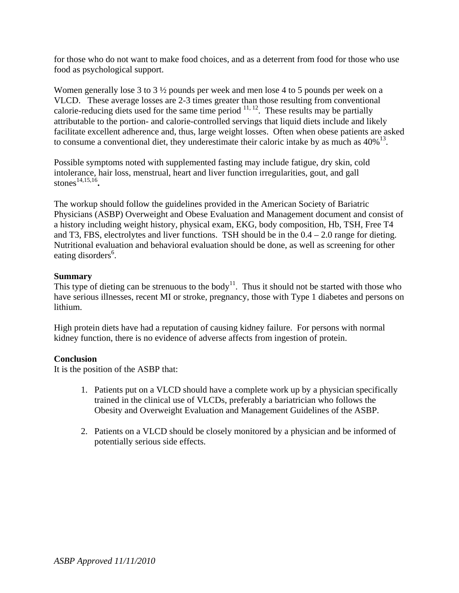for those who do not want to make food choices, and as a deterrent from food for those who use food as psychological support.

Women generally lose 3 to 3 ½ pounds per week and men lose 4 to 5 pounds per week on a VLCD. These average losses are 2-3 times greater than those resulting from conventional calorie-reducing diets used for the same time period  $11, 12$ . These results may be partially attributable to the portion- and calorie-controlled servings that liquid diets include and likely facilitate excellent adherence and, thus, large weight losses. Often when obese patients are asked to consume a conventional diet, they underestimate their caloric intake by as much as  $40\%$ <sup>13</sup>.

Possible symptoms noted with supplemented fasting may include fatigue, dry skin, cold intolerance, hair loss, menstrual, heart and liver function irregularities, gout, and gall stones<sup>14,15,16</sup>.

The workup should follow the guidelines provided in the American Society of Bariatric Physicians (ASBP) Overweight and Obese Evaluation and Management document and consist of a history including weight history, physical exam, EKG, body composition, Hb, TSH, Free T4 and T3, FBS, electrolytes and liver functions. TSH should be in the  $0.4 - 2.0$  range for dieting. Nutritional evaluation and behavioral evaluation should be done, as well as screening for other eating disorders<sup>6</sup>.

### **Summary**

This type of dieting can be strenuous to the body<sup>11</sup>. Thus it should not be started with those who have serious illnesses, recent MI or stroke, pregnancy, those with Type 1 diabetes and persons on lithium.

High protein diets have had a reputation of causing kidney failure. For persons with normal kidney function, there is no evidence of adverse affects from ingestion of protein.

## **Conclusion**

It is the position of the ASBP that:

- 1. Patients put on a VLCD should have a complete work up by a physician specifically trained in the clinical use of VLCDs, preferably a bariatrician who follows the Obesity and Overweight Evaluation and Management Guidelines of the ASBP.
- 2. Patients on a VLCD should be closely monitored by a physician and be informed of potentially serious side effects.